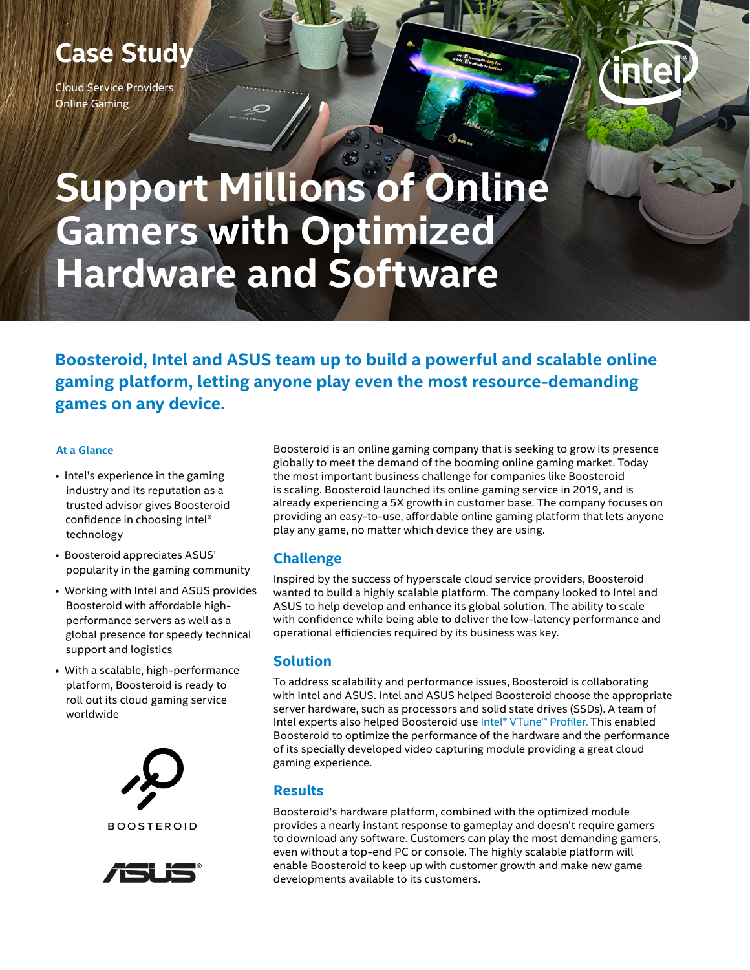## **Case Study**

Cloud Service Providers Online Gaming



# **Support Millions of Online Gamers with Optimized Hardware and Software**

**Boosteroid, Intel and ASUS team up to build a powerful and scalable online gaming platform, letting anyone play even the most resource-demanding games on any device.**

#### **At a Glance**

- Intel's experience in the gaming industry and its reputation as a trusted advisor gives Boosteroid confidence in choosing Intel® technology
- Boosteroid appreciates ASUS' popularity in the gaming community
- Working with Intel and ASUS provides Boosteroid with affordable highperformance servers as well as a global presence for speedy technical support and logistics
- With a scalable, high-performance platform, Boosteroid is ready to roll out its cloud gaming service worldwide





Boosteroid is an online gaming company that is seeking to grow its presence globally to meet the demand of the booming online gaming market. Today the most important business challenge for companies like Boosteroid is scaling. Boosteroid launched its online gaming service in 2019, and is already experiencing a 5X growth in customer base. The company focuses on providing an easy-to-use, affordable online gaming platform that lets anyone play any game, no matter which device they are using.

### **Challenge**

Inspired by the success of hyperscale cloud service providers, Boosteroid wanted to build a highly scalable platform. The company looked to Intel and ASUS to help develop and enhance its global solution. The ability to scale with confidence while being able to deliver the low-latency performance and operational efficiencies required by its business was key.

#### **Solution**

To address scalability and performance issues, Boosteroid is collaborating with Intel and ASUS. Intel and ASUS helped Boosteroid choose the appropriate server hardware, such as processors and solid state drives (SSDs). A team of Intel experts also helped Boosteroid use [Intel® VTune™ Profiler](https://software.intel.com/content/www/us/en/develop/tools/vtune-profiler.html). This enabled Boosteroid to optimize the performance of the hardware and the performance of its specially developed video capturing module providing a great cloud gaming experience.

#### **Results**

Boosteroid's hardware platform, combined with the optimized module provides a nearly instant response to gameplay and doesn't require gamers to download any software. Customers can play the most demanding gamers, even without a top-end PC or console. The highly scalable platform will enable Boosteroid to keep up with customer growth and make new game developments available to its customers.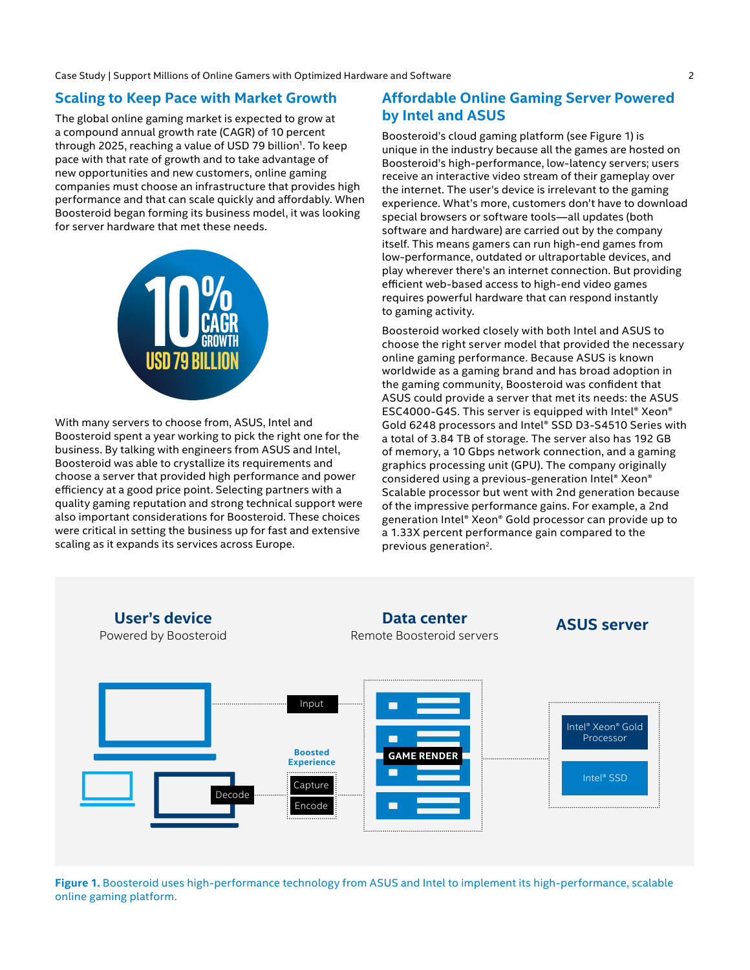Case Study | Support Millions of Online Gamers with Optimized Hardware and Software 2

#### **Scaling to Keep Pace with Market Growth**

The global online gaming market is expected to grow at a compound annual growth rate (CAGR) of 10 percent through 2025, reaching a value of USD 79 billion<sup>1</sup>. To keep pace with that rate of growth and to take advantage of new opportunities and new customers, online gaming companies must choose an infrastructure that provides high performance and that can scale quickly and affordably. When Boosteroid began forming its business model, it was looking for server hardware that met these needs.



With many servers to choose from, ASUS, Intel and Boosteroid spent a year working to pick the right one for the business. By talking with engineers from ASUS and Intel, Boosteroid was able to crystallize its requirements and choose a server that provided high performance and power efficiency at a good price point. Selecting partners with a quality gaming reputation and strong technical support were also important considerations for Boosteroid. These choices were critical in setting the business up for fast and extensive scaling as it expands its services across Europe.

#### **Affordable Online Gaming Server Powered by Intel and ASUS**

Boosteroid's cloud gaming platform (see Figure 1) is unique in the industry because all the games are hosted on Boosteroid's high-performance, low-latency servers; users receive an interactive video stream of their gameplay over the internet. The user's device is irrelevant to the gaming experience. What's more, customers don't have to download special browsers or software tools—all updates (both software and hardware) are carried out by the company itself. This means gamers can run high-end games from low-performance, outdated or ultraportable devices, and play wherever there's an internet connection. But providing efficient web-based access to high-end video games requires powerful hardware that can respond instantly to gaming activity.

Boosteroid worked closely with both Intel and ASUS to choose the right server model that provided the necessary online gaming performance. Because ASUS is known worldwide as a gaming brand and has broad adoption in the gaming community, Boosteroid was confident that ASUS could provide a server that met its needs: the ASUS ESC4000-G4S. This server is equipped with Intel® Xeon® Gold 6248 processors and Intel® SSD D3-S4510 Series with a total of 3.84 TB of storage. The server also has 192 GB of memory, a 10 Gbps network connection, and a gaming graphics processing unit (GPU). The company originally considered using a previous-generation Intel® Xeon® Scalable processor but went with 2nd generation because of the impressive performance gains. For example, a 2nd generation Intel® Xeon® Gold processor can provide up to a 1.33X percent performance gain compared to the previous generation<sup>2</sup>.



**Figure 1.** Boosteroid uses high-performance technology from ASUS and Intel to implement its high-performance, scalable online gaming platform.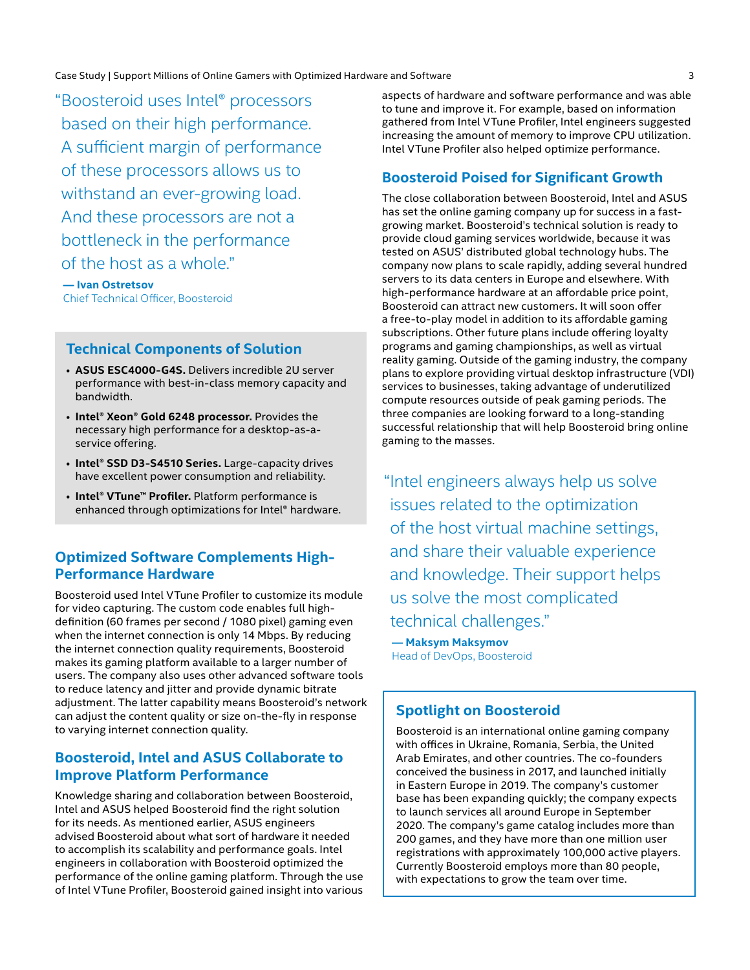Case Study | Support Millions of Online Gamers with Optimized Hardware and Software 3

"Boosteroid uses Intel® processors based on their high performance. A sufficient margin of performance of these processors allows us to withstand an ever-growing load. And these processors are not a bottleneck in the performance of the host as a whole."

 **— Ivan Ostretsov** Chief Technical Officer, Boosteroid

#### **Technical Components of Solution**

- **ASUS ESC4000-G4S.** Delivers incredible 2U server performance with best-in-class memory capacity and bandwidth.
- **Intel® Xeon® Gold 6248 processor.** Provides the necessary high performance for a desktop-as-aservice offering.
- **Intel® SSD D3-S4510 Series.** Large-capacity drives have excellent power consumption and reliability.
- **Intel® VTune™ Profiler.** Platform performance is enhanced through optimizations for Intel® hardware.

#### **Optimized Software Complements High-Performance Hardware**

Boosteroid used Intel VTune Profiler to customize its module for video capturing. The custom code enables full highdefinition (60 frames per second / 1080 pixel) gaming even when the internet connection is only 14 Mbps. By reducing the internet connection quality requirements, Boosteroid makes its gaming platform available to a larger number of users. The company also uses other advanced software tools to reduce latency and jitter and provide dynamic bitrate adjustment. The latter capability means Boosteroid's network can adjust the content quality or size on-the-fly in response to varying internet connection quality.

#### **Boosteroid, Intel and ASUS Collaborate to Improve Platform Performance**

Knowledge sharing and collaboration between Boosteroid, Intel and ASUS helped Boosteroid find the right solution for its needs. As mentioned earlier, ASUS engineers advised Boosteroid about what sort of hardware it needed to accomplish its scalability and performance goals. Intel engineers in collaboration with Boosteroid optimized the performance of the online gaming platform. Through the use of Intel VTune Profiler, Boosteroid gained insight into various

aspects of hardware and software performance and was able to tune and improve it. For example, based on information gathered from Intel VTune Profiler, Intel engineers suggested increasing the amount of memory to improve CPU utilization. Intel VTune Profiler also helped optimize performance.

#### **Boosteroid Poised for Significant Growth**

The close collaboration between Boosteroid, Intel and ASUS has set the online gaming company up for success in a fastgrowing market. Boosteroid's technical solution is ready to provide cloud gaming services worldwide, because it was tested on ASUS' distributed global technology hubs. The company now plans to scale rapidly, adding several hundred servers to its data centers in Europe and elsewhere. With high-performance hardware at an affordable price point, Boosteroid can attract new customers. It will soon offer a free-to-play model in addition to its affordable gaming subscriptions. Other future plans include offering loyalty programs and gaming championships, as well as virtual reality gaming. Outside of the gaming industry, the company plans to explore providing virtual desktop infrastructure (VDI) services to businesses, taking advantage of underutilized compute resources outside of peak gaming periods. The three companies are looking forward to a long-standing successful relationship that will help Boosteroid bring online gaming to the masses.

"Intel engineers always help us solve issues related to the optimization of the host virtual machine settings, and share their valuable experience and knowledge. Their support helps us solve the most complicated technical challenges."

 **— Maksym Maksymov** Head of DevOps, Boosteroid

#### **Spotlight on Boosteroid**

Boosteroid is an international online gaming company with offices in Ukraine, Romania, Serbia, the United Arab Emirates, and other countries. The co-founders conceived the business in 2017, and launched initially in Eastern Europe in 2019. The company's customer base has been expanding quickly; the company expects to launch services all around Europe in September 2020. The company's game catalog includes more than 200 games, and they have more than one million user registrations with approximately 100,000 active players. Currently Boosteroid employs more than 80 people, with expectations to grow the team over time.